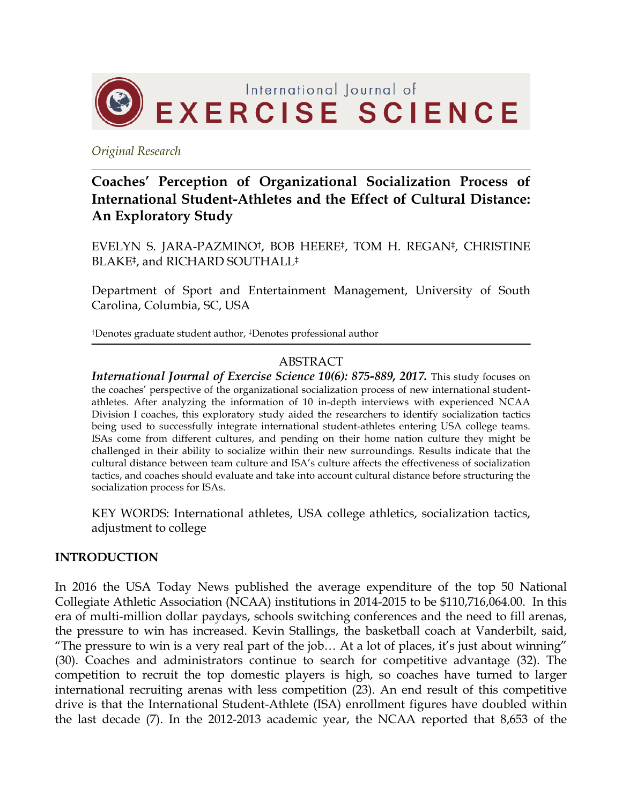

*Original Research*

# **Coaches' Perception of Organizational Socialization Process of International Student-Athletes and the Effect of Cultural Distance: An Exploratory Study**

EVELYN S. JARA-PAZMINO†, BOB HEERE‡, TOM H. REGAN‡, CHRISTINE BLAKE‡, and RICHARD SOUTHALL‡

Department of Sport and Entertainment Management, University of South Carolina, Columbia, SC, USA

†Denotes graduate student author, ‡Denotes professional author

## ABSTRACT

*International Journal of Exercise Science 10(6): 875-889, 2017.* This study focuses on the coaches' perspective of the organizational socialization process of new international studentathletes. After analyzing the information of 10 in-depth interviews with experienced NCAA Division I coaches, this exploratory study aided the researchers to identify socialization tactics being used to successfully integrate international student-athletes entering USA college teams. ISAs come from different cultures, and pending on their home nation culture they might be challenged in their ability to socialize within their new surroundings. Results indicate that the cultural distance between team culture and ISA's culture affects the effectiveness of socialization tactics, and coaches should evaluate and take into account cultural distance before structuring the socialization process for ISAs.

KEY WORDS: International athletes, USA college athletics, socialization tactics, adjustment to college

### **INTRODUCTION**

In 2016 the USA Today News published the average expenditure of the top 50 National Collegiate Athletic Association (NCAA) institutions in 2014-2015 to be \$110,716,064.00. In this era of multi-million dollar paydays, schools switching conferences and the need to fill arenas, the pressure to win has increased. Kevin Stallings, the basketball coach at Vanderbilt, said, "The pressure to win is a very real part of the job… At a lot of places, it's just about winning" (30). Coaches and administrators continue to search for competitive advantage (32). The competition to recruit the top domestic players is high, so coaches have turned to larger international recruiting arenas with less competition (23). An end result of this competitive drive is that the International Student-Athlete (ISA) enrollment figures have doubled within the last decade (7). In the 2012-2013 academic year, the NCAA reported that 8,653 of the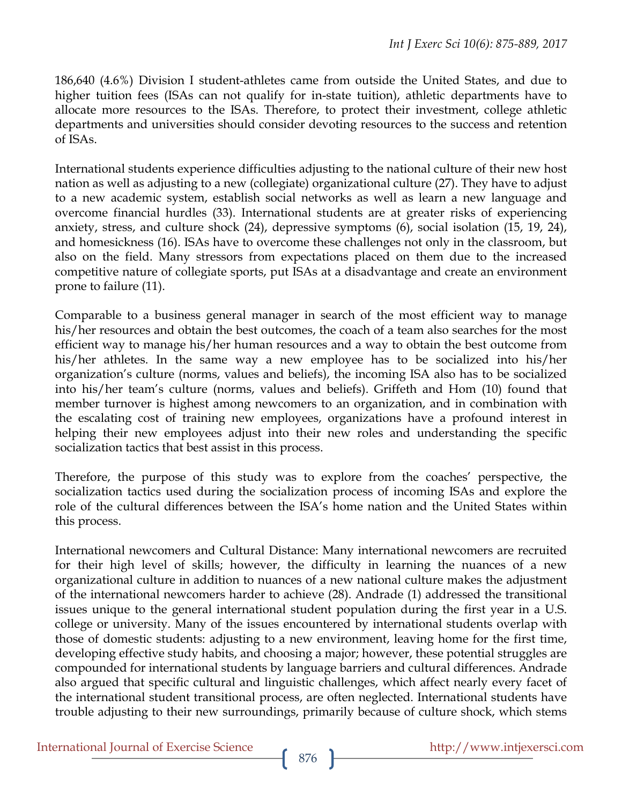186,640 (4.6%) Division I student-athletes came from outside the United States, and due to higher tuition fees (ISAs can not qualify for in-state tuition), athletic departments have to allocate more resources to the ISAs. Therefore, to protect their investment, college athletic departments and universities should consider devoting resources to the success and retention of ISAs.

International students experience difficulties adjusting to the national culture of their new host nation as well as adjusting to a new (collegiate) organizational culture (27). They have to adjust to a new academic system, establish social networks as well as learn a new language and overcome financial hurdles (33). International students are at greater risks of experiencing anxiety, stress, and culture shock (24), depressive symptoms (6), social isolation (15, 19, 24), and homesickness (16). ISAs have to overcome these challenges not only in the classroom, but also on the field. Many stressors from expectations placed on them due to the increased competitive nature of collegiate sports, put ISAs at a disadvantage and create an environment prone to failure (11).

Comparable to a business general manager in search of the most efficient way to manage his/her resources and obtain the best outcomes, the coach of a team also searches for the most efficient way to manage his/her human resources and a way to obtain the best outcome from his/her athletes. In the same way a new employee has to be socialized into his/her organization's culture (norms, values and beliefs), the incoming ISA also has to be socialized into his/her team's culture (norms, values and beliefs). Griffeth and Hom (10) found that member turnover is highest among newcomers to an organization, and in combination with the escalating cost of training new employees, organizations have a profound interest in helping their new employees adjust into their new roles and understanding the specific socialization tactics that best assist in this process.

Therefore, the purpose of this study was to explore from the coaches' perspective, the socialization tactics used during the socialization process of incoming ISAs and explore the role of the cultural differences between the ISA's home nation and the United States within this process.

International newcomers and Cultural Distance: Many international newcomers are recruited for their high level of skills; however, the difficulty in learning the nuances of a new organizational culture in addition to nuances of a new national culture makes the adjustment of the international newcomers harder to achieve (28). Andrade (1) addressed the transitional issues unique to the general international student population during the first year in a U.S. college or university. Many of the issues encountered by international students overlap with those of domestic students: adjusting to a new environment, leaving home for the first time, developing effective study habits, and choosing a major; however, these potential struggles are compounded for international students by language barriers and cultural differences. Andrade also argued that specific cultural and linguistic challenges, which affect nearly every facet of the international student transitional process, are often neglected. International students have trouble adjusting to their new surroundings, primarily because of culture shock, which stems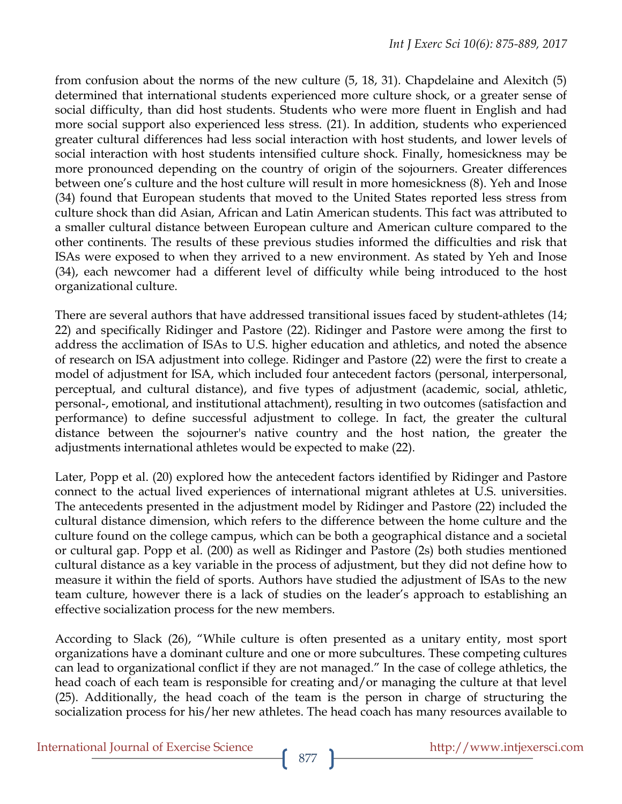from confusion about the norms of the new culture (5, 18, 31). Chapdelaine and Alexitch (5) determined that international students experienced more culture shock, or a greater sense of social difficulty, than did host students. Students who were more fluent in English and had more social support also experienced less stress. (21). In addition, students who experienced greater cultural differences had less social interaction with host students, and lower levels of social interaction with host students intensified culture shock. Finally, homesickness may be more pronounced depending on the country of origin of the sojourners. Greater differences between one's culture and the host culture will result in more homesickness (8). Yeh and Inose (34) found that European students that moved to the United States reported less stress from culture shock than did Asian, African and Latin American students. This fact was attributed to a smaller cultural distance between European culture and American culture compared to the other continents. The results of these previous studies informed the difficulties and risk that ISAs were exposed to when they arrived to a new environment. As stated by Yeh and Inose (34), each newcomer had a different level of difficulty while being introduced to the host organizational culture.

There are several authors that have addressed transitional issues faced by student-athletes (14; 22) and specifically Ridinger and Pastore (22). Ridinger and Pastore were among the first to address the acclimation of ISAs to U.S. higher education and athletics, and noted the absence of research on ISA adjustment into college. Ridinger and Pastore (22) were the first to create a model of adjustment for ISA, which included four antecedent factors (personal, interpersonal, perceptual, and cultural distance), and five types of adjustment (academic, social, athletic, personal-, emotional, and institutional attachment), resulting in two outcomes (satisfaction and performance) to define successful adjustment to college. In fact, the greater the cultural distance between the sojourner's native country and the host nation, the greater the adjustments international athletes would be expected to make (22).

Later, Popp et al. (20) explored how the antecedent factors identified by Ridinger and Pastore connect to the actual lived experiences of international migrant athletes at U.S. universities. The antecedents presented in the adjustment model by Ridinger and Pastore (22) included the cultural distance dimension, which refers to the difference between the home culture and the culture found on the college campus, which can be both a geographical distance and a societal or cultural gap. Popp et al. (200) as well as Ridinger and Pastore (2s) both studies mentioned cultural distance as a key variable in the process of adjustment, but they did not define how to measure it within the field of sports. Authors have studied the adjustment of ISAs to the new team culture, however there is a lack of studies on the leader's approach to establishing an effective socialization process for the new members.

According to Slack (26), "While culture is often presented as a unitary entity, most sport organizations have a dominant culture and one or more subcultures. These competing cultures can lead to organizational conflict if they are not managed." In the case of college athletics, the head coach of each team is responsible for creating and/or managing the culture at that level (25). Additionally, the head coach of the team is the person in charge of structuring the socialization process for his/her new athletes. The head coach has many resources available to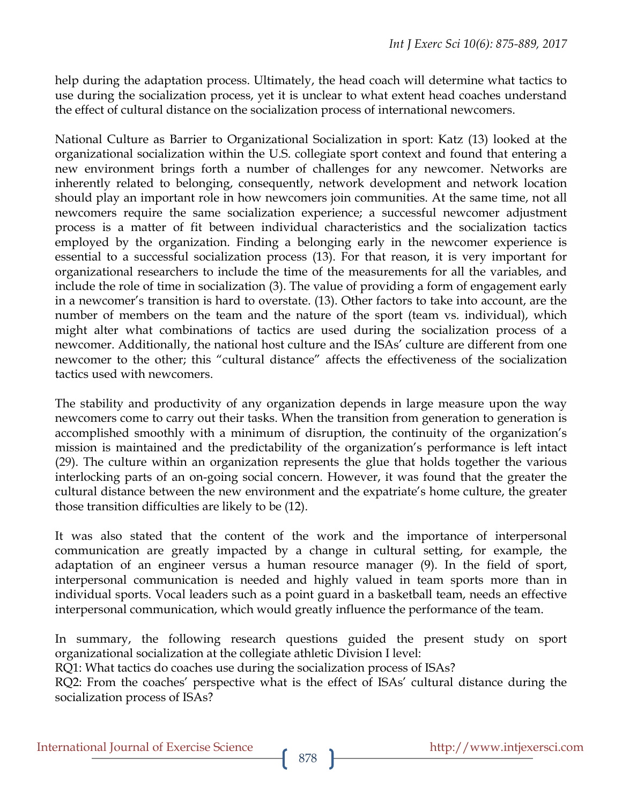help during the adaptation process. Ultimately, the head coach will determine what tactics to use during the socialization process, yet it is unclear to what extent head coaches understand the effect of cultural distance on the socialization process of international newcomers.

National Culture as Barrier to Organizational Socialization in sport: Katz (13) looked at the organizational socialization within the U.S. collegiate sport context and found that entering a new environment brings forth a number of challenges for any newcomer. Networks are inherently related to belonging, consequently, network development and network location should play an important role in how newcomers join communities. At the same time, not all newcomers require the same socialization experience; a successful newcomer adjustment process is a matter of fit between individual characteristics and the socialization tactics employed by the organization. Finding a belonging early in the newcomer experience is essential to a successful socialization process (13). For that reason, it is very important for organizational researchers to include the time of the measurements for all the variables, and include the role of time in socialization (3). The value of providing a form of engagement early in a newcomer's transition is hard to overstate. (13). Other factors to take into account, are the number of members on the team and the nature of the sport (team vs. individual), which might alter what combinations of tactics are used during the socialization process of a newcomer. Additionally, the national host culture and the ISAs' culture are different from one newcomer to the other; this "cultural distance" affects the effectiveness of the socialization tactics used with newcomers.

The stability and productivity of any organization depends in large measure upon the way newcomers come to carry out their tasks. When the transition from generation to generation is accomplished smoothly with a minimum of disruption, the continuity of the organization's mission is maintained and the predictability of the organization's performance is left intact (29). The culture within an organization represents the glue that holds together the various interlocking parts of an on-going social concern. However, it was found that the greater the cultural distance between the new environment and the expatriate's home culture, the greater those transition difficulties are likely to be (12).

It was also stated that the content of the work and the importance of interpersonal communication are greatly impacted by a change in cultural setting, for example, the adaptation of an engineer versus a human resource manager (9). In the field of sport, interpersonal communication is needed and highly valued in team sports more than in individual sports. Vocal leaders such as a point guard in a basketball team, needs an effective interpersonal communication, which would greatly influence the performance of the team.

In summary, the following research questions guided the present study on sport organizational socialization at the collegiate athletic Division I level:

RQ1: What tactics do coaches use during the socialization process of ISAs?

RQ2: From the coaches' perspective what is the effect of ISAs' cultural distance during the socialization process of ISAs?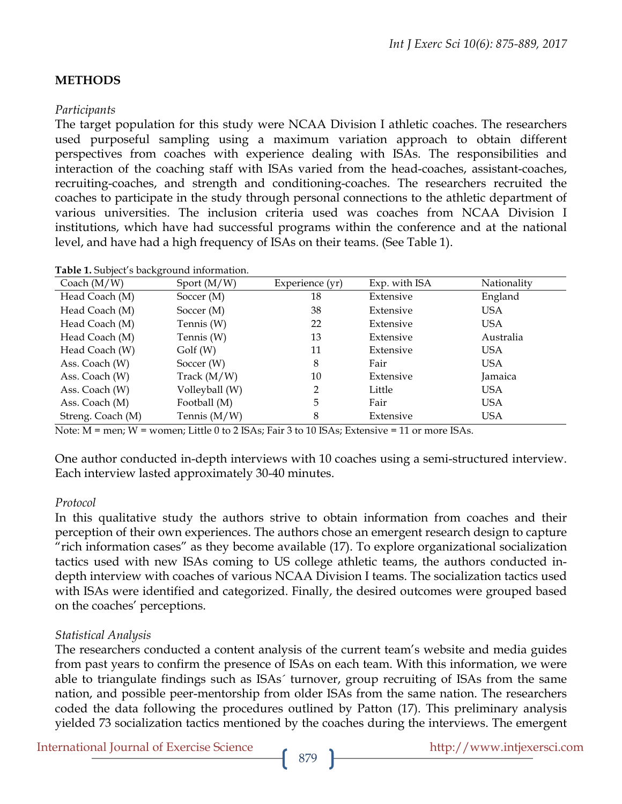## **METHODS**

#### *Participants*

The target population for this study were NCAA Division I athletic coaches. The researchers used purposeful sampling using a maximum variation approach to obtain different perspectives from coaches with experience dealing with ISAs. The responsibilities and interaction of the coaching staff with ISAs varied from the head-coaches, assistant-coaches, recruiting-coaches, and strength and conditioning-coaches. The researchers recruited the coaches to participate in the study through personal connections to the athletic department of various universities. The inclusion criteria used was coaches from NCAA Division I institutions, which have had successful programs within the conference and at the national level, and have had a high frequency of ISAs on their teams. (See Table 1).

| . .<br>Coach $(M/W)$ | Sport $(M/W)$  | Experience (yr) | Exp. with ISA | Nationality |
|----------------------|----------------|-----------------|---------------|-------------|
| Head Coach (M)       | Soccer $(M)$   | 18              | Extensive     | England     |
| Head Coach (M)       | Soccer $(M)$   | 38              | Extensive     | <b>USA</b>  |
| Head Coach (M)       | Tennis (W)     | 22              | Extensive     | <b>USA</b>  |
| Head Coach (M)       | Tennis (W)     | 13              | Extensive     | Australia   |
| Head Coach (W)       | Golf(W)        | 11              | Extensive     | USA         |
| Ass. Coach (W)       | Soccer $(W)$   | 8               | Fair          | <b>USA</b>  |
| Ass. Coach (W)       | Track $(M/W)$  | 10              | Extensive     | Jamaica     |
| Ass. Coach (W)       | Volleyball (W) | 2               | Little        | USA         |
| Ass. Coach (M)       | Football (M)   | 5               | Fair          | <b>USA</b>  |
| Streng. Coach (M)    | Tennis $(M/W)$ | 8               | Extensive     | USA         |

**Table 1.** Subject's background information.

Note: M = men; W = women; Little 0 to 2 ISAs; Fair 3 to 10 ISAs; Extensive = 11 or more ISAs.

One author conducted in-depth interviews with 10 coaches using a semi-structured interview. Each interview lasted approximately 30-40 minutes.

#### *Protocol*

In this qualitative study the authors strive to obtain information from coaches and their perception of their own experiences. The authors chose an emergent research design to capture "rich information cases" as they become available (17). To explore organizational socialization tactics used with new ISAs coming to US college athletic teams, the authors conducted indepth interview with coaches of various NCAA Division I teams. The socialization tactics used with ISAs were identified and categorized. Finally, the desired outcomes were grouped based on the coaches' perceptions.

#### *Statistical Analysis*

The researchers conducted a content analysis of the current team's website and media guides from past years to confirm the presence of ISAs on each team. With this information, we were able to triangulate findings such as ISAs´ turnover, group recruiting of ISAs from the same nation, and possible peer-mentorship from older ISAs from the same nation. The researchers coded the data following the procedures outlined by Patton (17). This preliminary analysis yielded 73 socialization tactics mentioned by the coaches during the interviews. The emergent

International Journal of Exercise Science http://www.intjexersci.com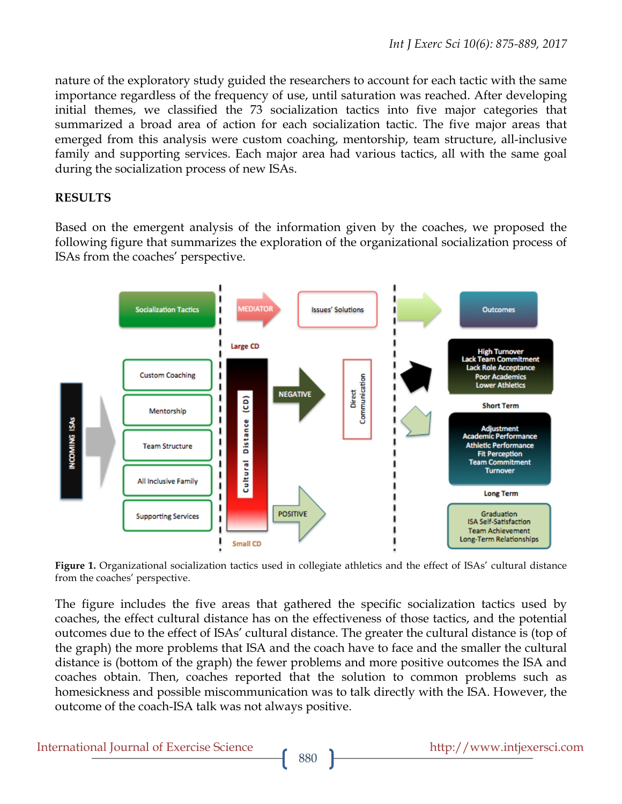nature of the exploratory study guided the researchers to account for each tactic with the same importance regardless of the frequency of use, until saturation was reached. After developing initial themes, we classified the 73 socialization tactics into five major categories that summarized a broad area of action for each socialization tactic. The five major areas that emerged from this analysis were custom coaching, mentorship, team structure, all-inclusive family and supporting services. Each major area had various tactics, all with the same goal during the socialization process of new ISAs.

# **RESULTS**

Based on the emergent analysis of the information given by the coaches, we proposed the following figure that summarizes the exploration of the organizational socialization process of ISAs from the coaches' perspective.



**Figure 1.** Organizational socialization tactics used in collegiate athletics and the effect of ISAs' cultural distance from the coaches' perspective.

The figure includes the five areas that gathered the specific socialization tactics used by coaches, the effect cultural distance has on the effectiveness of those tactics, and the potential outcomes due to the effect of ISAs' cultural distance. The greater the cultural distance is (top of the graph) the more problems that ISA and the coach have to face and the smaller the cultural distance is (bottom of the graph) the fewer problems and more positive outcomes the ISA and coaches obtain. Then, coaches reported that the solution to common problems such as homesickness and possible miscommunication was to talk directly with the ISA. However, the outcome of the coach-ISA talk was not always positive.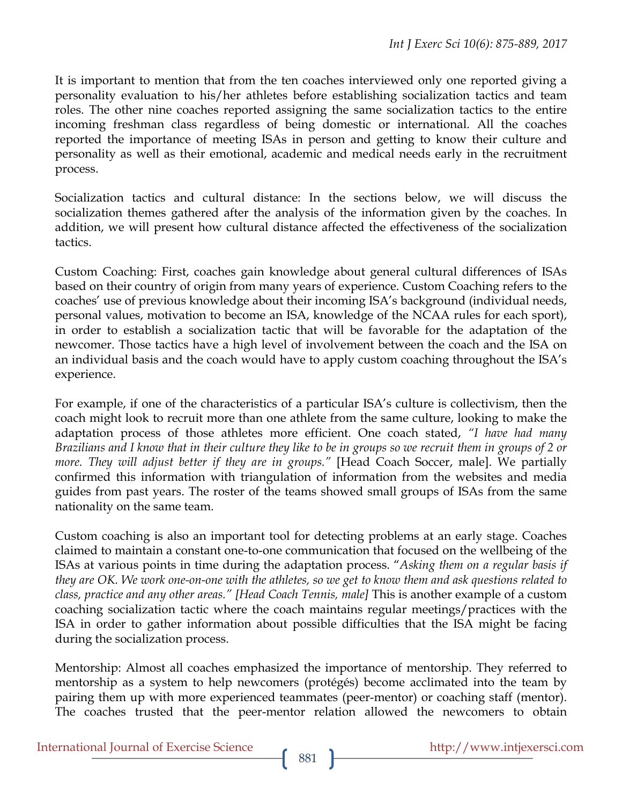It is important to mention that from the ten coaches interviewed only one reported giving a personality evaluation to his/her athletes before establishing socialization tactics and team roles. The other nine coaches reported assigning the same socialization tactics to the entire incoming freshman class regardless of being domestic or international. All the coaches reported the importance of meeting ISAs in person and getting to know their culture and personality as well as their emotional, academic and medical needs early in the recruitment process.

Socialization tactics and cultural distance: In the sections below, we will discuss the socialization themes gathered after the analysis of the information given by the coaches. In addition, we will present how cultural distance affected the effectiveness of the socialization tactics.

Custom Coaching: First, coaches gain knowledge about general cultural differences of ISAs based on their country of origin from many years of experience. Custom Coaching refers to the coaches' use of previous knowledge about their incoming ISA's background (individual needs, personal values, motivation to become an ISA, knowledge of the NCAA rules for each sport), in order to establish a socialization tactic that will be favorable for the adaptation of the newcomer. Those tactics have a high level of involvement between the coach and the ISA on an individual basis and the coach would have to apply custom coaching throughout the ISA's experience.

For example, if one of the characteristics of a particular ISA's culture is collectivism, then the coach might look to recruit more than one athlete from the same culture, looking to make the adaptation process of those athletes more efficient. One coach stated, *"I have had many Brazilians and I know that in their culture they like to be in groups so we recruit them in groups of 2 or more. They will adjust better if they are in groups."* [Head Coach Soccer, male]. We partially confirmed this information with triangulation of information from the websites and media guides from past years. The roster of the teams showed small groups of ISAs from the same nationality on the same team.

Custom coaching is also an important tool for detecting problems at an early stage. Coaches claimed to maintain a constant one-to-one communication that focused on the wellbeing of the ISAs at various points in time during the adaptation process. "*Asking them on a regular basis if they are OK. We work one-on-one with the athletes, so we get to know them and ask questions related to class, practice and any other areas." [Head Coach Tennis, male]* This is another example of a custom coaching socialization tactic where the coach maintains regular meetings/practices with the ISA in order to gather information about possible difficulties that the ISA might be facing during the socialization process.

Mentorship: Almost all coaches emphasized the importance of mentorship. They referred to mentorship as a system to help newcomers (protégés) become acclimated into the team by pairing them up with more experienced teammates (peer-mentor) or coaching staff (mentor). The coaches trusted that the peer-mentor relation allowed the newcomers to obtain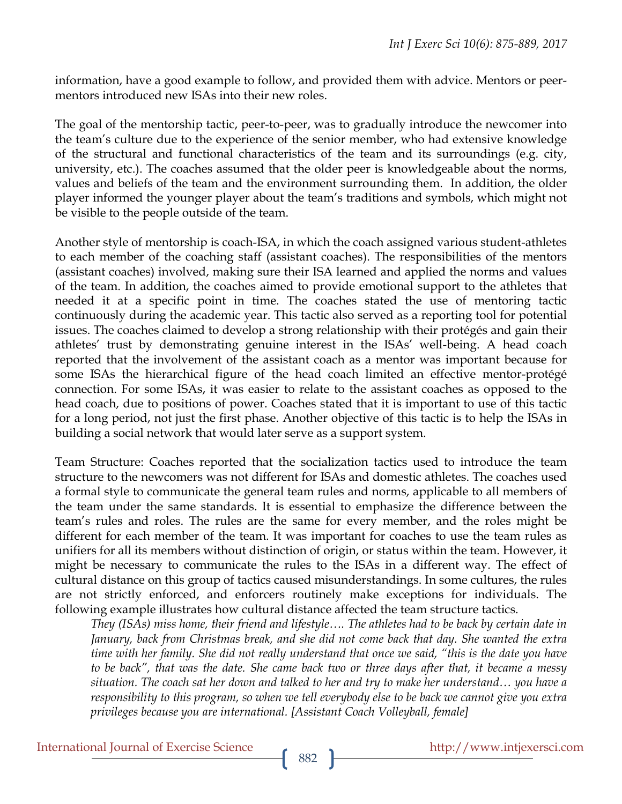information, have a good example to follow, and provided them with advice. Mentors or peermentors introduced new ISAs into their new roles.

The goal of the mentorship tactic, peer-to-peer, was to gradually introduce the newcomer into the team's culture due to the experience of the senior member, who had extensive knowledge of the structural and functional characteristics of the team and its surroundings (e.g. city, university, etc.). The coaches assumed that the older peer is knowledgeable about the norms, values and beliefs of the team and the environment surrounding them. In addition, the older player informed the younger player about the team's traditions and symbols, which might not be visible to the people outside of the team.

Another style of mentorship is coach-ISA, in which the coach assigned various student-athletes to each member of the coaching staff (assistant coaches). The responsibilities of the mentors (assistant coaches) involved, making sure their ISA learned and applied the norms and values of the team. In addition, the coaches aimed to provide emotional support to the athletes that needed it at a specific point in time. The coaches stated the use of mentoring tactic continuously during the academic year. This tactic also served as a reporting tool for potential issues. The coaches claimed to develop a strong relationship with their protégés and gain their athletes' trust by demonstrating genuine interest in the ISAs' well-being. A head coach reported that the involvement of the assistant coach as a mentor was important because for some ISAs the hierarchical figure of the head coach limited an effective mentor-protégé connection. For some ISAs, it was easier to relate to the assistant coaches as opposed to the head coach, due to positions of power. Coaches stated that it is important to use of this tactic for a long period, not just the first phase. Another objective of this tactic is to help the ISAs in building a social network that would later serve as a support system.

Team Structure: Coaches reported that the socialization tactics used to introduce the team structure to the newcomers was not different for ISAs and domestic athletes. The coaches used a formal style to communicate the general team rules and norms, applicable to all members of the team under the same standards. It is essential to emphasize the difference between the team's rules and roles. The rules are the same for every member, and the roles might be different for each member of the team. It was important for coaches to use the team rules as unifiers for all its members without distinction of origin, or status within the team. However, it might be necessary to communicate the rules to the ISAs in a different way. The effect of cultural distance on this group of tactics caused misunderstandings. In some cultures, the rules are not strictly enforced, and enforcers routinely make exceptions for individuals. The following example illustrates how cultural distance affected the team structure tactics.

*They (ISAs) miss home, their friend and lifestyle…. The athletes had to be back by certain date in January, back from Christmas break, and she did not come back that day. She wanted the extra time with her family. She did not really understand that once we said, "this is the date you have to be back", that was the date. She came back two or three days after that, it became a messy situation. The coach sat her down and talked to her and try to make her understand… you have a responsibility to this program, so when we tell everybody else to be back we cannot give you extra privileges because you are international. [Assistant Coach Volleyball, female]*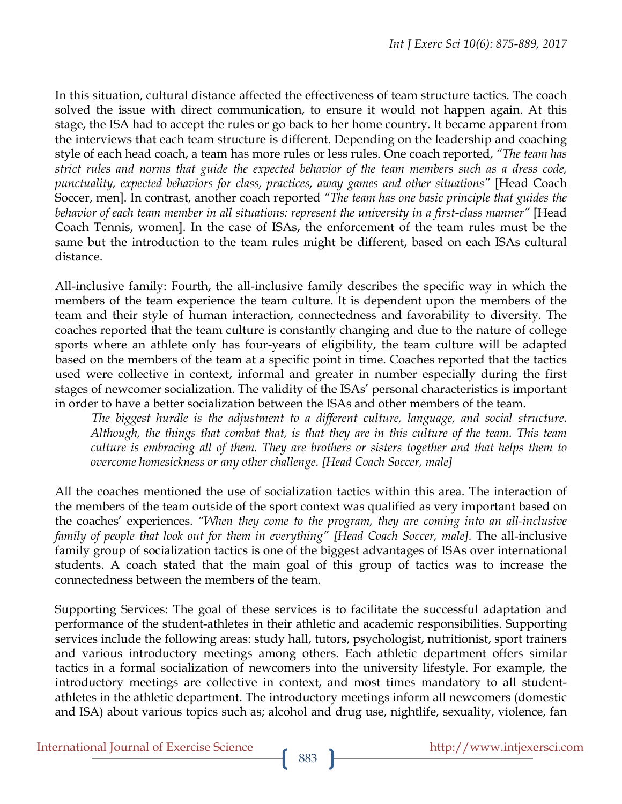In this situation, cultural distance affected the effectiveness of team structure tactics. The coach solved the issue with direct communication, to ensure it would not happen again. At this stage, the ISA had to accept the rules or go back to her home country. It became apparent from the interviews that each team structure is different. Depending on the leadership and coaching style of each head coach, a team has more rules or less rules. One coach reported, *"The team has strict rules and norms that guide the expected behavior of the team members such as a dress code, punctuality, expected behaviors for class, practices, away games and other situations"* [Head Coach Soccer, men]. In contrast, another coach reported *"The team has one basic principle that guides the behavior of each team member in all situations: represent the university in a first-class manner"* [Head Coach Tennis, women]. In the case of ISAs, the enforcement of the team rules must be the same but the introduction to the team rules might be different, based on each ISAs cultural distance.

All-inclusive family: Fourth, the all-inclusive family describes the specific way in which the members of the team experience the team culture. It is dependent upon the members of the team and their style of human interaction, connectedness and favorability to diversity. The coaches reported that the team culture is constantly changing and due to the nature of college sports where an athlete only has four-years of eligibility, the team culture will be adapted based on the members of the team at a specific point in time. Coaches reported that the tactics used were collective in context, informal and greater in number especially during the first stages of newcomer socialization. The validity of the ISAs' personal characteristics is important in order to have a better socialization between the ISAs and other members of the team.

*The biggest hurdle is the adjustment to a different culture, language, and social structure. Although, the things that combat that, is that they are in this culture of the team. This team culture is embracing all of them. They are brothers or sisters together and that helps them to overcome homesickness or any other challenge. [Head Coach Soccer, male]*

All the coaches mentioned the use of socialization tactics within this area. The interaction of the members of the team outside of the sport context was qualified as very important based on the coaches' experiences. *"When they come to the program, they are coming into an all-inclusive family of people that look out for them in everything" [Head Coach Soccer, male].* The all-inclusive family group of socialization tactics is one of the biggest advantages of ISAs over international students. A coach stated that the main goal of this group of tactics was to increase the connectedness between the members of the team.

Supporting Services: The goal of these services is to facilitate the successful adaptation and performance of the student-athletes in their athletic and academic responsibilities. Supporting services include the following areas: study hall, tutors, psychologist, nutritionist, sport trainers and various introductory meetings among others. Each athletic department offers similar tactics in a formal socialization of newcomers into the university lifestyle. For example, the introductory meetings are collective in context, and most times mandatory to all studentathletes in the athletic department. The introductory meetings inform all newcomers (domestic and ISA) about various topics such as; alcohol and drug use, nightlife, sexuality, violence, fan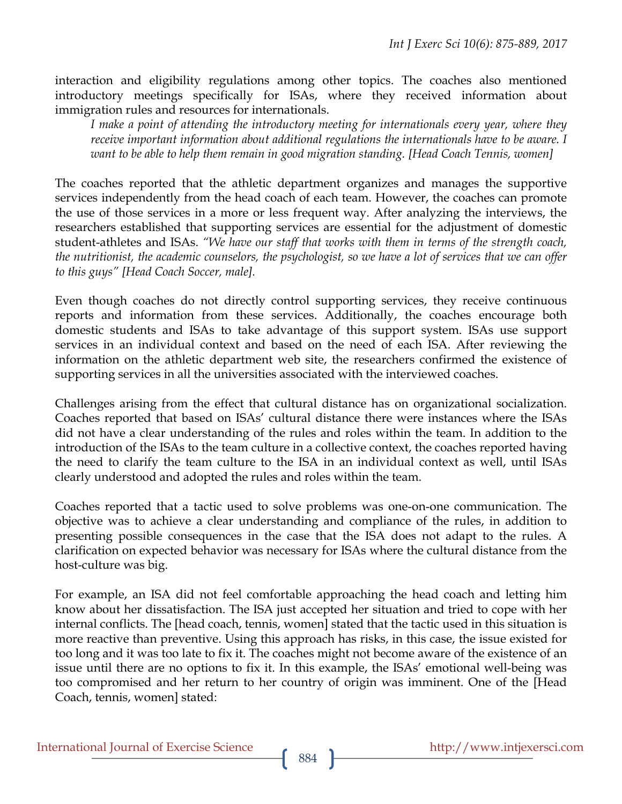interaction and eligibility regulations among other topics. The coaches also mentioned introductory meetings specifically for ISAs, where they received information about immigration rules and resources for internationals.

*I make a point of attending the introductory meeting for internationals every year, where they receive important information about additional regulations the internationals have to be aware. I want to be able to help them remain in good migration standing. [Head Coach Tennis, women]*

The coaches reported that the athletic department organizes and manages the supportive services independently from the head coach of each team. However, the coaches can promote the use of those services in a more or less frequent way. After analyzing the interviews, the researchers established that supporting services are essential for the adjustment of domestic student-athletes and ISAs. *"We have our staff that works with them in terms of the strength coach, the nutritionist, the academic counselors, the psychologist, so we have a lot of services that we can offer to this guys" [Head Coach Soccer, male].*

Even though coaches do not directly control supporting services, they receive continuous reports and information from these services. Additionally, the coaches encourage both domestic students and ISAs to take advantage of this support system. ISAs use support services in an individual context and based on the need of each ISA. After reviewing the information on the athletic department web site, the researchers confirmed the existence of supporting services in all the universities associated with the interviewed coaches.

Challenges arising from the effect that cultural distance has on organizational socialization. Coaches reported that based on ISAs' cultural distance there were instances where the ISAs did not have a clear understanding of the rules and roles within the team. In addition to the introduction of the ISAs to the team culture in a collective context, the coaches reported having the need to clarify the team culture to the ISA in an individual context as well, until ISAs clearly understood and adopted the rules and roles within the team.

Coaches reported that a tactic used to solve problems was one-on-one communication. The objective was to achieve a clear understanding and compliance of the rules, in addition to presenting possible consequences in the case that the ISA does not adapt to the rules. A clarification on expected behavior was necessary for ISAs where the cultural distance from the host-culture was big.

For example, an ISA did not feel comfortable approaching the head coach and letting him know about her dissatisfaction. The ISA just accepted her situation and tried to cope with her internal conflicts. The [head coach, tennis, women] stated that the tactic used in this situation is more reactive than preventive. Using this approach has risks, in this case, the issue existed for too long and it was too late to fix it. The coaches might not become aware of the existence of an issue until there are no options to fix it. In this example, the ISAs' emotional well-being was too compromised and her return to her country of origin was imminent. One of the [Head Coach, tennis, women] stated: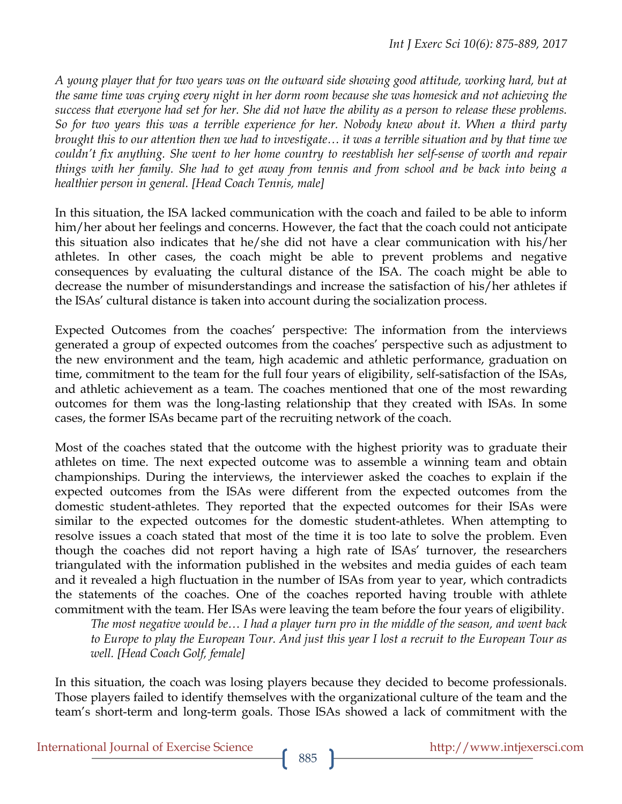*A young player that for two years was on the outward side showing good attitude, working hard, but at the same time was crying every night in her dorm room because she was homesick and not achieving the success that everyone had set for her. She did not have the ability as a person to release these problems. So for two years this was a terrible experience for her. Nobody knew about it. When a third party brought this to our attention then we had to investigate… it was a terrible situation and by that time we couldn't fix anything. She went to her home country to reestablish her self-sense of worth and repair things with her family. She had to get away from tennis and from school and be back into being a healthier person in general. [Head Coach Tennis, male]*

In this situation, the ISA lacked communication with the coach and failed to be able to inform him/her about her feelings and concerns. However, the fact that the coach could not anticipate this situation also indicates that he/she did not have a clear communication with his/her athletes. In other cases, the coach might be able to prevent problems and negative consequences by evaluating the cultural distance of the ISA. The coach might be able to decrease the number of misunderstandings and increase the satisfaction of his/her athletes if the ISAs' cultural distance is taken into account during the socialization process.

Expected Outcomes from the coaches' perspective: The information from the interviews generated a group of expected outcomes from the coaches' perspective such as adjustment to the new environment and the team, high academic and athletic performance, graduation on time, commitment to the team for the full four years of eligibility, self-satisfaction of the ISAs, and athletic achievement as a team. The coaches mentioned that one of the most rewarding outcomes for them was the long-lasting relationship that they created with ISAs. In some cases, the former ISAs became part of the recruiting network of the coach.

Most of the coaches stated that the outcome with the highest priority was to graduate their athletes on time. The next expected outcome was to assemble a winning team and obtain championships. During the interviews, the interviewer asked the coaches to explain if the expected outcomes from the ISAs were different from the expected outcomes from the domestic student-athletes. They reported that the expected outcomes for their ISAs were similar to the expected outcomes for the domestic student-athletes. When attempting to resolve issues a coach stated that most of the time it is too late to solve the problem. Even though the coaches did not report having a high rate of ISAs' turnover, the researchers triangulated with the information published in the websites and media guides of each team and it revealed a high fluctuation in the number of ISAs from year to year, which contradicts the statements of the coaches. One of the coaches reported having trouble with athlete commitment with the team. Her ISAs were leaving the team before the four years of eligibility.

*The most negative would be… I had a player turn pro in the middle of the season, and went back*  to Europe to play the European Tour. And just this year I lost a recruit to the European Tour as *well. [Head Coach Golf, female]*

In this situation, the coach was losing players because they decided to become professionals. Those players failed to identify themselves with the organizational culture of the team and the team's short-term and long-term goals. Those ISAs showed a lack of commitment with the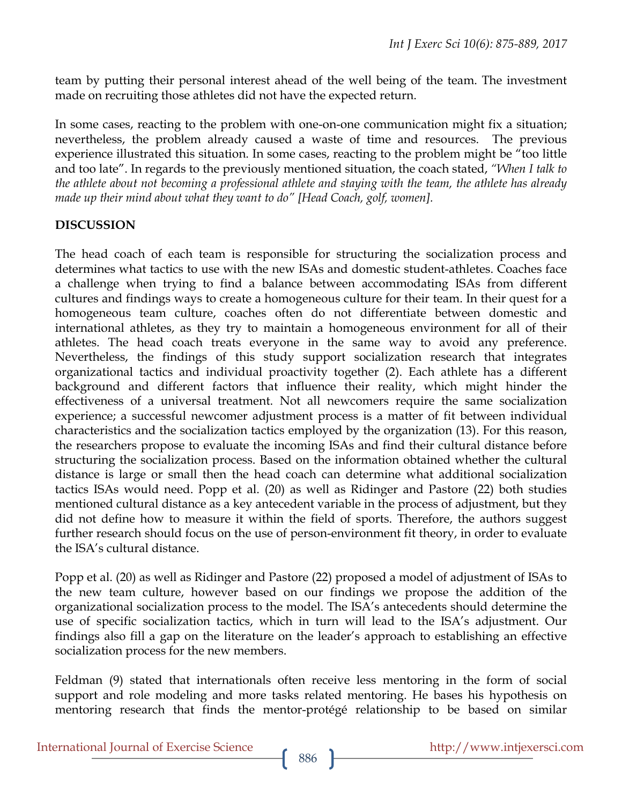team by putting their personal interest ahead of the well being of the team. The investment made on recruiting those athletes did not have the expected return.

In some cases, reacting to the problem with one-on-one communication might fix a situation; nevertheless, the problem already caused a waste of time and resources. The previous experience illustrated this situation. In some cases, reacting to the problem might be "too little and too late". In regards to the previously mentioned situation, the coach stated, *"When I talk to the athlete about not becoming a professional athlete and staying with the team, the athlete has already made up their mind about what they want to do" [Head Coach, golf, women].*

## **DISCUSSION**

The head coach of each team is responsible for structuring the socialization process and determines what tactics to use with the new ISAs and domestic student-athletes. Coaches face a challenge when trying to find a balance between accommodating ISAs from different cultures and findings ways to create a homogeneous culture for their team. In their quest for a homogeneous team culture, coaches often do not differentiate between domestic and international athletes, as they try to maintain a homogeneous environment for all of their athletes. The head coach treats everyone in the same way to avoid any preference. Nevertheless, the findings of this study support socialization research that integrates organizational tactics and individual proactivity together (2). Each athlete has a different background and different factors that influence their reality, which might hinder the effectiveness of a universal treatment. Not all newcomers require the same socialization experience; a successful newcomer adjustment process is a matter of fit between individual characteristics and the socialization tactics employed by the organization (13). For this reason, the researchers propose to evaluate the incoming ISAs and find their cultural distance before structuring the socialization process. Based on the information obtained whether the cultural distance is large or small then the head coach can determine what additional socialization tactics ISAs would need. Popp et al. (20) as well as Ridinger and Pastore (22) both studies mentioned cultural distance as a key antecedent variable in the process of adjustment, but they did not define how to measure it within the field of sports. Therefore, the authors suggest further research should focus on the use of person-environment fit theory, in order to evaluate the ISA's cultural distance.

Popp et al. (20) as well as Ridinger and Pastore (22) proposed a model of adjustment of ISAs to the new team culture, however based on our findings we propose the addition of the organizational socialization process to the model. The ISA's antecedents should determine the use of specific socialization tactics, which in turn will lead to the ISA's adjustment. Our findings also fill a gap on the literature on the leader's approach to establishing an effective socialization process for the new members.

Feldman (9) stated that internationals often receive less mentoring in the form of social support and role modeling and more tasks related mentoring. He bases his hypothesis on mentoring research that finds the mentor-protégé relationship to be based on similar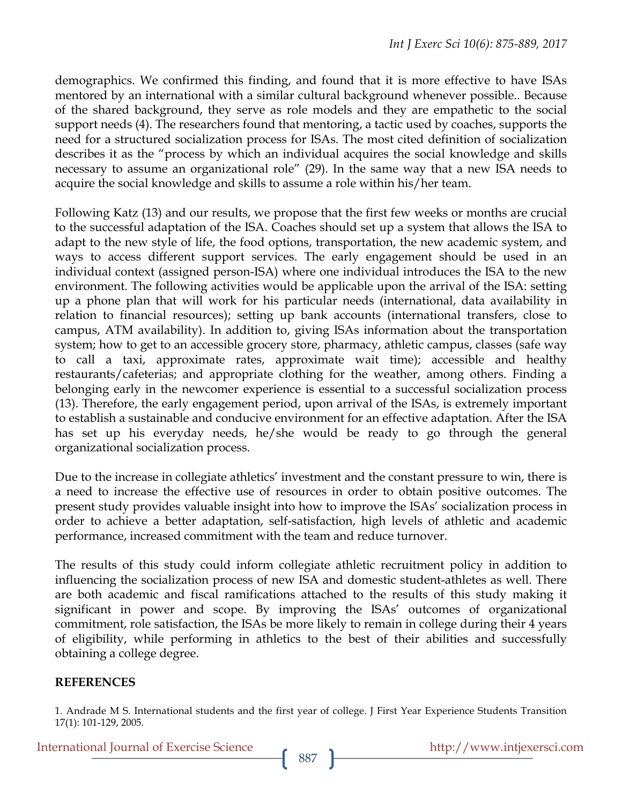demographics. We confirmed this finding, and found that it is more effective to have ISAs mentored by an international with a similar cultural background whenever possible.. Because of the shared background, they serve as role models and they are empathetic to the social support needs (4). The researchers found that mentoring, a tactic used by coaches, supports the need for a structured socialization process for ISAs. The most cited definition of socialization describes it as the "process by which an individual acquires the social knowledge and skills necessary to assume an organizational role" (29). In the same way that a new ISA needs to acquire the social knowledge and skills to assume a role within his/her team.

Following Katz (13) and our results, we propose that the first few weeks or months are crucial to the successful adaptation of the ISA. Coaches should set up a system that allows the ISA to adapt to the new style of life, the food options, transportation, the new academic system, and ways to access different support services. The early engagement should be used in an individual context (assigned person-ISA) where one individual introduces the ISA to the new environment. The following activities would be applicable upon the arrival of the ISA: setting up a phone plan that will work for his particular needs (international, data availability in relation to financial resources); setting up bank accounts (international transfers, close to campus, ATM availability). In addition to, giving ISAs information about the transportation system; how to get to an accessible grocery store, pharmacy, athletic campus, classes (safe way to call a taxi, approximate rates, approximate wait time); accessible and healthy restaurants/cafeterias; and appropriate clothing for the weather, among others. Finding a belonging early in the newcomer experience is essential to a successful socialization process (13). Therefore, the early engagement period, upon arrival of the ISAs, is extremely important to establish a sustainable and conducive environment for an effective adaptation. After the ISA has set up his everyday needs, he/she would be ready to go through the general organizational socialization process.

Due to the increase in collegiate athletics' investment and the constant pressure to win, there is a need to increase the effective use of resources in order to obtain positive outcomes. The present study provides valuable insight into how to improve the ISAs' socialization process in order to achieve a better adaptation, self-satisfaction, high levels of athletic and academic performance, increased commitment with the team and reduce turnover.

The results of this study could inform collegiate athletic recruitment policy in addition to influencing the socialization process of new ISA and domestic student-athletes as well. There are both academic and fiscal ramifications attached to the results of this study making it significant in power and scope. By improving the ISAs' outcomes of organizational commitment, role satisfaction, the ISAs be more likely to remain in college during their 4 years of eligibility, while performing in athletics to the best of their abilities and successfully obtaining a college degree.

### **REFERENCES**

1. Andrade M S. International students and the first year of college. J First Year Experience Students Transition 17(1): 101-129, 2005.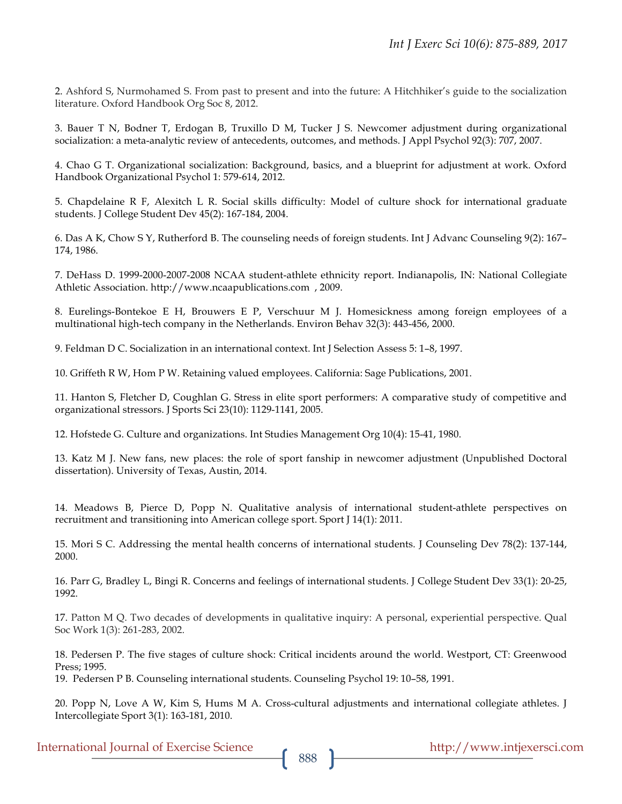2. Ashford S, Nurmohamed S. From past to present and into the future: A Hitchhiker's guide to the socialization literature. Oxford Handbook Org Soc 8, 2012.

3. Bauer T N, Bodner T, Erdogan B, Truxillo D M, Tucker J S. Newcomer adjustment during organizational socialization: a meta-analytic review of antecedents, outcomes, and methods. J Appl Psychol 92(3): 707, 2007.

4. Chao G T. Organizational socialization: Background, basics, and a blueprint for adjustment at work. Oxford Handbook Organizational Psychol 1: 579-614, 2012.

5. Chapdelaine R F, Alexitch L R. Social skills difficulty: Model of culture shock for international graduate students. J College Student Dev 45(2): 167-184, 2004.

6. Das A K, Chow S Y, Rutherford B. The counseling needs of foreign students. Int J Advanc Counseling 9(2): 167– 174, 1986.

7. DeHass D. 1999-2000-2007-2008 NCAA student-athlete ethnicity report. Indianapolis, IN: National Collegiate Athletic Association. http://www.ncaapublications.com , 2009.

8. Eurelings-Bontekoe E H, Brouwers E P, Verschuur M J. Homesickness among foreign employees of a multinational high-tech company in the Netherlands. Environ Behav 32(3): 443-456, 2000.

9. Feldman D C. Socialization in an international context. Int J Selection Assess 5: 1–8, 1997.

10. Griffeth R W, Hom P W. Retaining valued employees. California: Sage Publications, 2001.

11. Hanton S, Fletcher D, Coughlan G. Stress in elite sport performers: A comparative study of competitive and organizational stressors. J Sports Sci 23(10): 1129-1141, 2005.

12. Hofstede G. Culture and organizations. Int Studies Management Org 10(4): 15-41, 1980.

13. Katz M J. New fans, new places: the role of sport fanship in newcomer adjustment (Unpublished Doctoral dissertation). University of Texas, Austin, 2014.

14. Meadows B, Pierce D, Popp N. Qualitative analysis of international student-athlete perspectives on recruitment and transitioning into American college sport. Sport J 14(1): 2011.

15. Mori S C. Addressing the mental health concerns of international students. J Counseling Dev 78(2): 137-144, 2000.

16. Parr G, Bradley L, Bingi R. Concerns and feelings of international students. J College Student Dev 33(1): 20-25, 1992.

17. Patton M Q. Two decades of developments in qualitative inquiry: A personal, experiential perspective. Qual Soc Work 1(3): 261-283, 2002.

18. Pedersen P. The five stages of culture shock: Critical incidents around the world. Westport, CT: Greenwood Press; 1995.

19. Pedersen P B. Counseling international students. Counseling Psychol 19: 10–58, 1991.

20. Popp N, Love A W, Kim S, Hums M A. Cross-cultural adjustments and international collegiate athletes. J Intercollegiate Sport 3(1): 163-181, 2010.